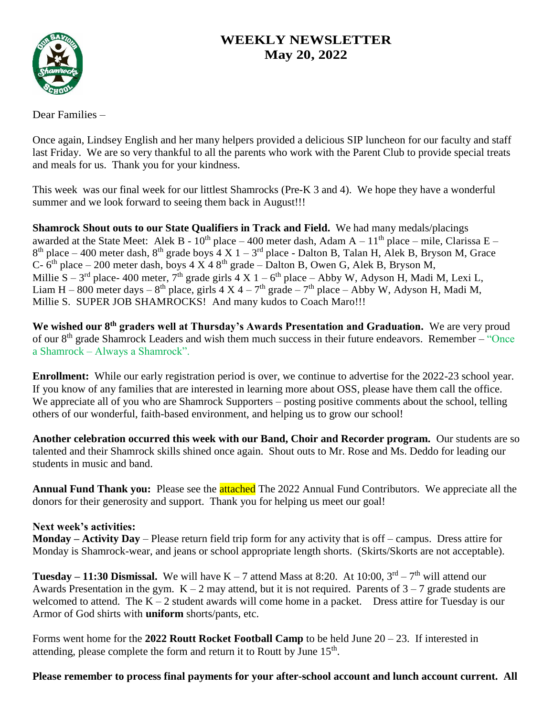# **WEEKLY NEWSLETTER May 20, 2022**



Dear Families –

Once again, Lindsey English and her many helpers provided a delicious SIP luncheon for our faculty and staff last Friday. We are so very thankful to all the parents who work with the Parent Club to provide special treats and meals for us. Thank you for your kindness.

This week was our final week for our littlest Shamrocks (Pre-K 3 and 4). We hope they have a wonderful summer and we look forward to seeing them back in August!!!

**Shamrock Shout outs to our State Qualifiers in Track and Field.** We had many medals/placings awarded at the State Meet: Alek B -  $10^{th}$  place – 400 meter dash, Adam A –  $11^{th}$  place – mile, Clarissa E –  $8<sup>th</sup>$  place – 400 meter dash,  $8<sup>th</sup>$  grade boys 4 X 1 – 3<sup>rd</sup> place - Dalton B, Talan H, Alek B, Bryson M, Grace C-  $6<sup>th</sup>$  place – 200 meter dash, boys 4 X 4 8<sup>th</sup> grade – Dalton B, Owen G, Alek B, Bryson M, Millie S – 3<sup>rd</sup> place- 400 meter, 7<sup>th</sup> grade girls 4 X 1 – 6<sup>th</sup> place – Abby W, Adyson H, Madi M, Lexi L, Liam H – 800 meter days –  $8^{th}$  place, girls 4 X 4 – 7<sup>th</sup> grade – 7<sup>th</sup> place – Abby W, Adyson H, Madi M, Millie S. SUPER JOB SHAMROCKS! And many kudos to Coach Maro!!!

**We wished our 8th graders well at Thursday's Awards Presentation and Graduation.** We are very proud of our 8<sup>th</sup> grade Shamrock Leaders and wish them much success in their future endeavors. Remember – "Once a Shamrock – Always a Shamrock".

**Enrollment:** While our early registration period is over, we continue to advertise for the 2022-23 school year. If you know of any families that are interested in learning more about OSS, please have them call the office. We appreciate all of you who are Shamrock Supporters – posting positive comments about the school, telling others of our wonderful, faith-based environment, and helping us to grow our school!

**Another celebration occurred this week with our Band, Choir and Recorder program.** Our students are so talented and their Shamrock skills shined once again. Shout outs to Mr. Rose and Ms. Deddo for leading our students in music and band.

**Annual Fund Thank you:** Please see the **attached** The 2022 Annual Fund Contributors. We appreciate all the donors for their generosity and support. Thank you for helping us meet our goal!

## **Next week's activities:**

**Monday – Activity Day** – Please return field trip form for any activity that is off – campus. Dress attire for Monday is Shamrock-wear, and jeans or school appropriate length shorts. (Skirts/Skorts are not acceptable).

**Tuesday – 11:30 Dismissal.** We will have  $K - 7$  attend Mass at 8:20. At 10:00,  $3^{rd} - 7^{th}$  will attend our Awards Presentation in the gym.  $K - 2$  may attend, but it is not required. Parents of  $3 - 7$  grade students are welcomed to attend. The  $K - 2$  student awards will come home in a packet. Dress attire for Tuesday is our Armor of God shirts with **uniform** shorts/pants, etc.

Forms went home for the **2022 Routt Rocket Football Camp** to be held June 20 – 23. If interested in attending, please complete the form and return it to Routt by June  $15<sup>th</sup>$ .

## **Please remember to process final payments for your after-school account and lunch account current. All**